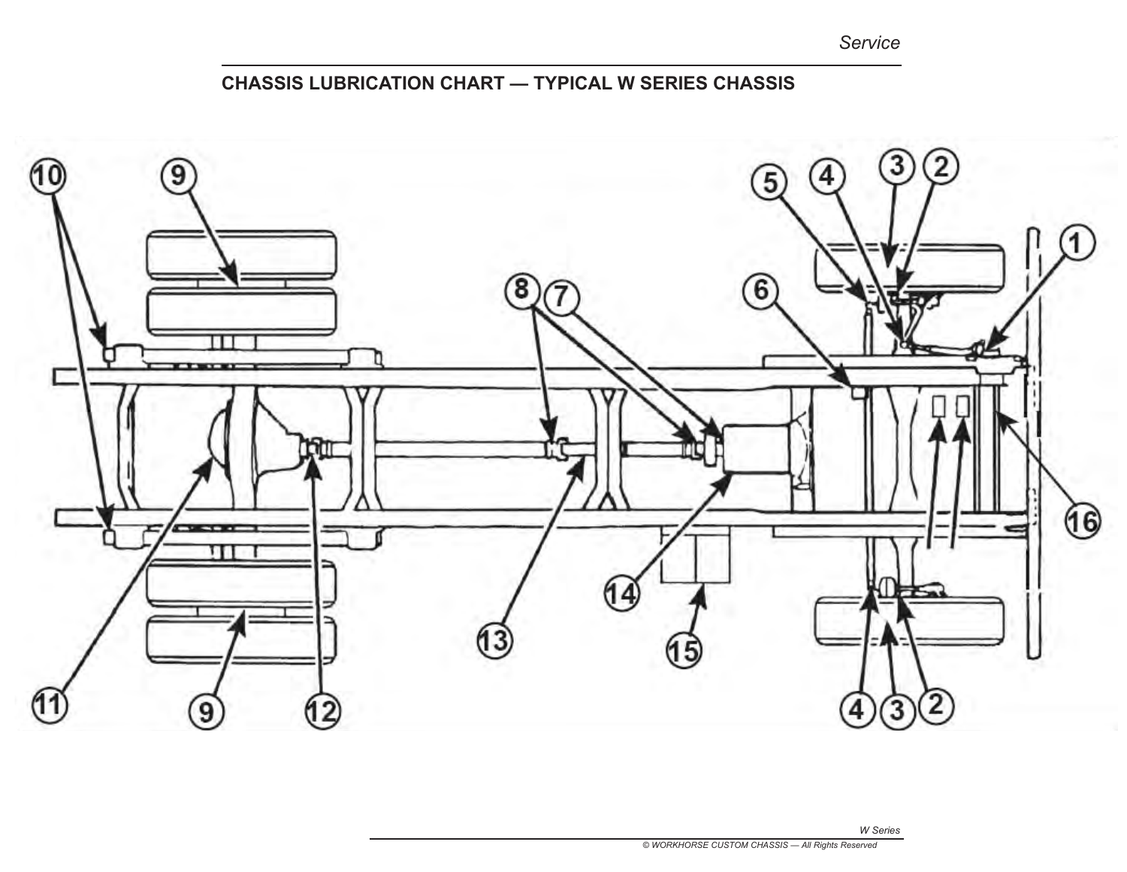*Service*

## **CHASSIS LUBRICATION CHART — TYPICAL W SERIES CHASSIS**